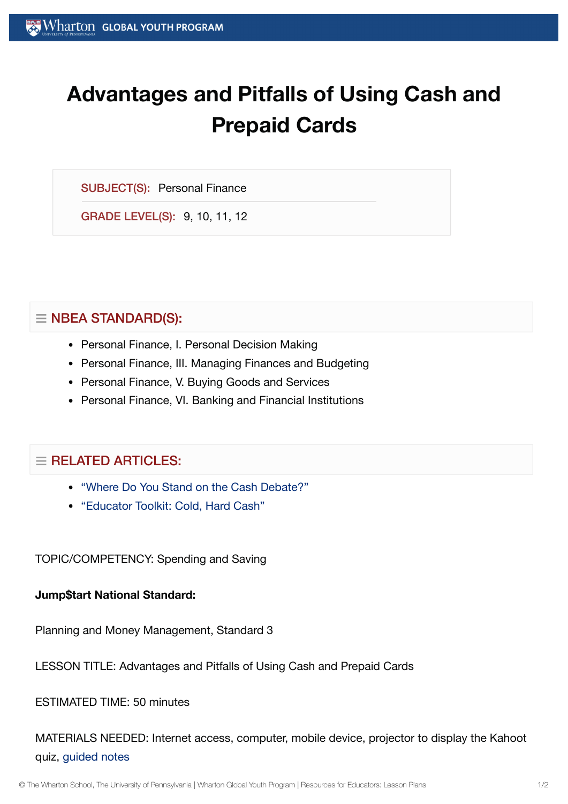# **Advantages and Pitfalls of Using Cash and Prepaid Cards**

SUBJECT(S): Personal Finance

GRADE LEVEL(S): 9, 10, 11, 12

## $\equiv$  NBEA STANDARD(S):

- Personal Finance, I. Personal Decision Making
- Personal Finance, III. Managing Finances and Budgeting
- Personal Finance, V. Buying Goods and Services
- Personal Finance, VI. Banking and Financial Institutions

# $\equiv$  RELATED ARTICLES:

- "Where Do You Stand on the Cash [Debate?"](https://globalyouth.wharton.upenn.edu/articles/stand-cash-debate/)
- ["Educator](https://globalyouth.wharton.upenn.edu/articles/educator-toolkit-cold-hard-cash/) Toolkit: Cold, Hard Cash"

TOPIC/COMPETENCY: Spending and Saving

## **Jump\$tart National Standard:**

Planning and Money Management, Standard 3

LESSON TITLE: Advantages and Pitfalls of Using Cash and Prepaid Cards

ESTIMATED TIME: 50 minutes

MATERIALS NEEDED: Internet access, computer, mobile device, projector to display the Kahoot quiz, [guided](https://globalyouth.wharton.upenn.edu/wp-content/uploads/2015/12/Spending_saving_guideed.pdf) notes